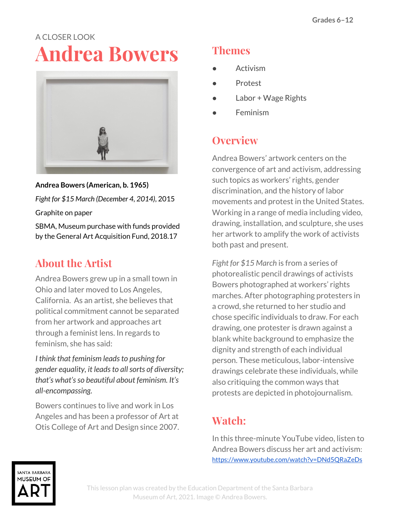# A CLOSER LOOK **Andrea Bowers**



**Andrea Bowers (American, b. 1965)** *Fight for \$15 March (December 4, 2014)*, 2015

Graphite on paper

SBMA, Museum purchase with funds provided by the General Art Acquisition Fund, 2018.17

# **About the Artist**

Andrea Bowers grew up in a small town in Ohio and later moved to Los Angeles, California. As an artist, she believes that political commitment cannot be separated from her artwork and approaches art through a feminist lens. In regards to feminism, she has said:

*I think that feminism leadsto pushing for gender equality, it leadsto allsorts of diversity; that's what'sso beautiful about feminism. It's all-encompassing.*

Bowers continues to live and work in Los Angeles and has been a professor of Art at Otis College of Art and Design since 2007.

### **Themes**

- **Activism**
- **Protest**
- Labor + Wage Rights
- **Feminism**

## **Overview**

Andrea Bowers' artwork centers on the convergence of art and activism, addressing such topics as workers' rights, gender discrimination, and the history of labor movements and protest in the United States. Working in a range of media including video, drawing, installation, and sculpture, she uses her artwork to amplify the work of activists both past and present.

*Fight for \$15 March* is from a series of photorealistic pencil drawings of activists Bowers photographed at workers' rights marches. After photographing protesters in a crowd, she returned to her studio and chose specific individuals to draw. For each drawing, one protester is drawn against a blank white background to emphasize the dignity and strength of each individual person. These meticulous, labor-intensive drawings celebrate these individuals, while also critiquing the common ways that protests are depicted in photojournalism.

# **Watch:**

In this three-minute YouTube video, listen to Andrea Bowers discuss her art and activism: <https://www.youtube.com/watch?v=DNd5QRaZeDs>

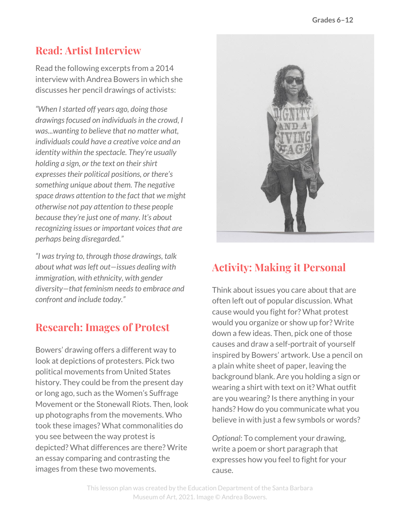#### **Read: Artist Interview**

Read the following excerpts from a 2014 interview with Andrea Bowers in which she discusses her pencil drawings of activists:

*"When Istarted off years ago, doing those drawingsfocused on individualsin the crowd, I was...wanting to believe that no matter what, individuals could have a creative voice and an identity within the spectacle. They're usually holding a sign, or the text on theirshirt expressestheir political positions, or there's something unique about them. The negative space draws attention to the fact that we might otherwise not pay attention to these people because they're just one of many. It's about recognizing issues or important voicesthat are perhaps being disregarded."*

*"I wastrying to, through those drawings, talk about what wasleft out—issues dealing with immigration, with ethnicity, with gender diversity—that feminism needsto embrace and confront and include today."*

#### **Research: Images of Protest**

Bowers' drawing offers a different way to look at depictions of protesters. Pick two political movements from United States history. They could be from the present day or long ago, such as the Women's Suffrage Movement or the Stonewall Riots. Then, look up photographs from the movements. Who took these images? What commonalities do you see between the way protest is depicted? What differences are there? Write an essay comparing and contrasting the images from these two movements.



#### **Activity: Making it Personal**

Think about issues you care about that are often left out of popular discussion. What cause would you fight for? What protest would you organize or show up for? Write down a few ideas. Then, pick one of those causes and draw a self-portrait of yourself inspired by Bowers' artwork. Use a pencil on a plain white sheet of paper, leaving the background blank. Are you holding a sign or wearing a shirt with text on it? What outfit are you wearing? Is there anything in your hands? How do you communicate what you believe in with just a few symbols or words?

*Optional*: To complement your drawing, write a poem or short paragraph that expresses how you feel to fight for your cause.